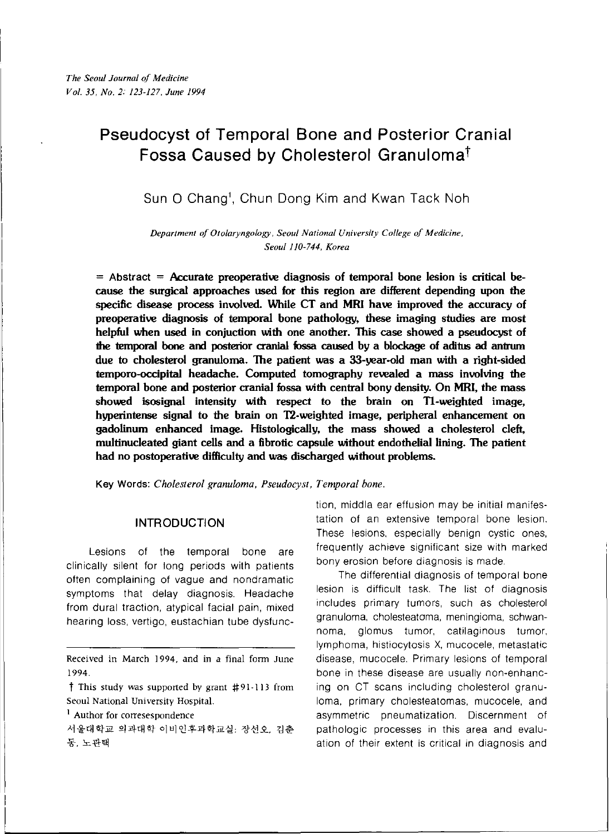# **Pseudocyst of Temporal Bone and Posterior Cranial Fossa Caused by Cholesterol** Granuloma!

Sun 0 Chanq', Chun Dong Kim and Kwan Tack Noh

*Department 0/ Otolaryngology! Seoul National University* **C***allege of Medicine, Seoul 110-744, Korea*

= **Abstract = Accurate preoperative diagnosis of temporal bone lesion is critical because the surgical approaches used for this region are different depending upon the** specific disease process involved. While CT and MRI have improved the accuracy of **preoperative diagnosis of temporal bone pathology, these imaging studies are most helpful when used in conjuction with one another. This case showed a pseudocyst of lhe temporal bone and posterior cranial fossa caused by a blockage of aditus ad antrum due to cholesterol granuloma. The patient was a 33-year-old man with a right-sided temporo-occipital headache. Computed tomography revealed a mass involving the temporal bone and posterior cranial fossa with central bony density. On MRI, the mass showed isosignal intensity with respect to the brain on Tl-weighted image, hyperintense signal to the brain on T2-weighted image, peripheral enhancement on gadolinum enhanced image. Histologically, the mass showed a cholesterol cleft, multinucleated giant cells and a fibrotic capsule without endothelial lining. The patient had no postoperative difficulty and was discharged without problems.**

**Key** Words: *Cholesterol granuloma, Pseudocyst, Temporal bone.*

## **INTRODUCTION**

Lesions of the temporal bone are clinically silent for long periods with patients often complaining of vague and nondramatic symptoms that delay diagnosis. Headache from dural traction, atypical facial pain, mixed hearing loss, vertigo, eustachian tube dysfunc-

Received in March 1994, and in a final form June 1994.

 $\dagger$  This study was supported by grant  $\sharp$ 91-113 from Seoul National University Hospital.

<sup>1</sup> Author for corresespondence

서울대학교 의과대학 이비인후과학교실: 장선오, 김춘 동, 노관택

tion, middla ear effusion may be initial manifestation of an extensive temporal bone lesion. These lesions, especially benign cystic ones, frequently achieve significant size with marked bony erosion before diagnosis is made.

The differential diagnosis of temporal bone lesion is difficult task. The list of diagnosis includes primary tumors, such as cholesterol granuloma, cholesteatoma, meningioma, schwannoma, glomus tumor, calilaginous tumor, lymphoma, histiocytosis X, mucocele, metastatic disease, mucocele. Primary lesions of temporal bone in these disease are usually non-enhancing on CT scans including cholesterol granuloma, primary cholesteatomas, mucocele, and asymmetric pneumatization. Discernment of pathologic processes in this area and evaluation of their extent is critical in diagnosis and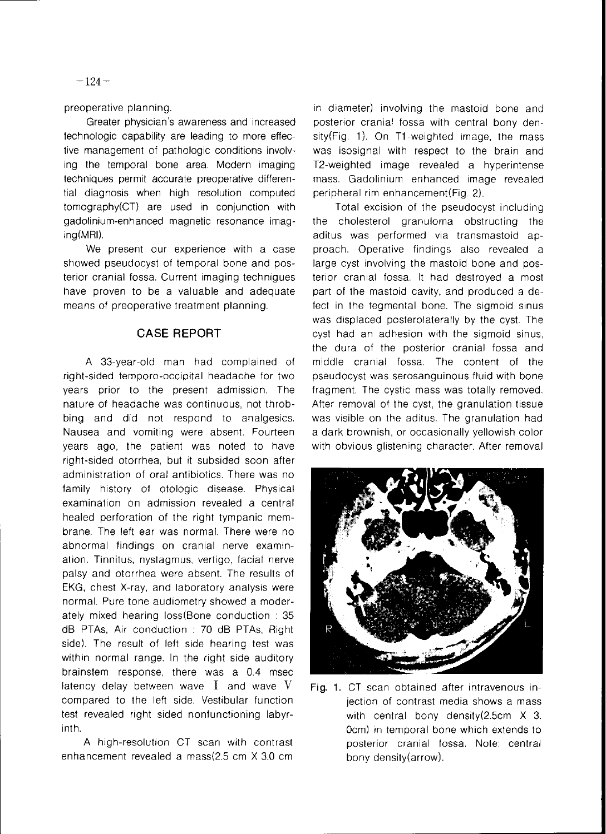preoperative planning.

Greater physician's awareness and increased technologic capability are leading to more effective management of pathologic conditions involving the temporal bone area. Modern imaging techniques permit accurate preoperative differential diagnosis when high resolution computed tomography(CT) are used in conjunction with gadolinium-enhanced magnetic resonance imaging(MRI).

We present our experience with a case showed pseudocyst of temporal bone and posterior cranial fossa. Current imaging techniques have proven to be a valuable and adequate means of preoperative treatment planning.

## **CASE REPORT**

A 33-year-old man had complained of right-sided temporo-occipital headache for two years prior to the present admission. The nature of headache was continuous, not throbbing and did not respond to analgesics. Nausea and vomiting were absent. Fourteen years ago, the patient was noted to have right-sided otorrhea, but it subsided soon after administration of oral antibiotics. There was no family history of otologic disease. Physical examination on admission revealed a central healed perforation of the right tympanic membrane. The left ear was normal. There were no abnormal findings on cranial nerve examination. Tinnitus, nystagmus, vertigo, facial nerve palsy and otorrhea were absent. The results of EKG, chest X-ray, and laboratory analysis were normal. Pure tone audiometry showed a moderately mixed hearing loss(Bone conduction : 35 dB PTAs, Air conduction : 70 dB PTAs, Right side). The result of left side hearing test was within normal range. In the right side auditory brainstem response, there was a 0.4 msec latency delay between wave  $I$  and wave  $V$ compared to the left side. Vestibular function test revealed right sided nonfunctioning labyrinth.

A high-resolution CT scan with contrast enhancement revealed a mass(2.5 cm X 3.0 cm

in diameter) involving the mastoid bone and posterior cranial fossa with central bony density(Fig. 1). On T1-weighted image, the mass was isosignal with respect to the brain and T2-weighted image revealed a hyperintense mass. Gadolinium enhanced image revealed peripheral rim enhancement(Fig. 2).

Total excision of the pseudocyst including the cholesterol granuloma obstructing the aditus was performed via transmastoid approach. Operative findings also revealed a large cyst involving the mastoid bone and posterior cranial fossa. It had destroyed a most part of the mastoid cavity, and produced a defect in the tegmental bone. The sigmoid sinus was displaced posterolaterally by the cyst. The cyst had an adhesion with the sigmoid sinus, the dura of the posterior cranial fossa and middle cranial fossa. The content of the pseudocyst was serosanguinous fluid with bone fragment. The cystic mass was totally removed. After removal of the cyst, the granulation tissue was visible on the aditus. The granulation had a dark brownish, or occasionally yellowish color with obvious glistening character. After removal



Fig. 1. CT scan obtained after intravenous injection of contrast media shows a mass with central bony density(2.5cm X 3. 0cm) in temporal bone which extends to posterior cranial fossa. Note: central bony density (arrow).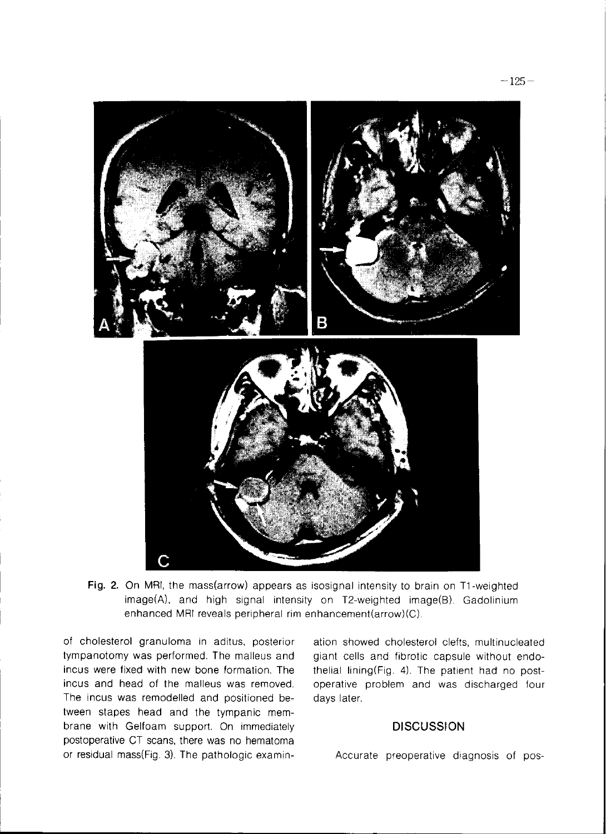

Fig. 2. On MRI, the mass(arrow) appears as isosignal intensity to brain on T1-weighted image(A), and high signal intensity on T2-weighted image(B). Gadolinium enhanced MRI reveals peripheral rim enhancement(arrow)(C).

of cholesterol granuloma in aditus, posterior tympanotomy was performed. The malleus and incus were fixed with new bone formation. The incus and head of the malleus was removed. The incus was remodelled and positioned between stapes head and the tympanic membrane with Gelfoam support. On immediately postoperative CT scans, there was no hematoma or residual mass(Fig. 3). The pathologic examin-

ation showed cholesterol clefts, multinucleated giant cells and fibrotic capsule without endothelial lining(Fig. 4). The patient had no postoperative problem and was discharged four days later.

### **DISCUSSION**

Accurate preoperative diagnosis of pos-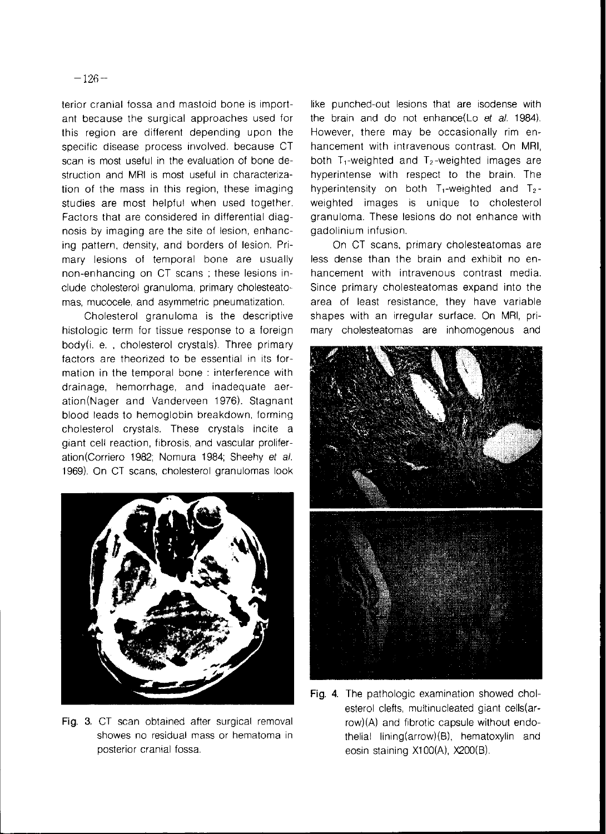terior cranial fossa and mastoid bone is important because the surgical approaches used for this region are different depending upon the specific disease process involved. because CT scan is most useful in the evaluation of bone destruction and MRI is most useful in characterization of the mass in this region, these imaging studies are most helpful when used together. Factors that are considered in differential diagnosis by imaging are the site of lesion, enhancing pattern, density, and borders of lesion. Primary lesions of temporal bone are usually non-enhancing on CT scans; these lesions include cholesterol granuloma, primary cholesteatomas, mucocele, and asymmetric pneumatization.

Cholesterol granuloma is the descriptive histologic term for tissue response to a foreign body(i, e., cholesterol crystals). Three primary factors are theorized to be essential in its formation in the temporal bone : interference with drainage, hemorrhage, and inadequate aeration(Nager and Vanderveen 1976). Stagnant blood leads to hemoglobin breakdown, forming cholesterol crystals. These crystals incite a giant cell reaction, fibrosis, and vascular proliferation(Corriero 1982; Nomura 1984; Sheehy et al. 1969). On CT scans, cholesterol granulomas look



Fig. 3. CT scan obtained after surgical removal showes no residual mass or hematoma in posterior cranial fossa.

like punched-out lesions that are isodense with the brain and do not enhance(Lo et al. 1984). However, there may be occasionally rim enhancement with intravenous contrast. On MRI, both  $T_1$ -weighted and  $T_2$ -weighted images are hyperintense with respect to the brain. The hyperintensity on both  $T_1$ -weighted and  $T_2$ weighted images is unique to cholesterol granuloma. These lesions do not enhance with gadolinium infusion.

On CT scans, primary cholesteatomas are less dense than the brain and exhibit no enhancement with intravenous contrast media. Since primary cholesteatomas expand into the area of least resistance, they have variable shapes with an irregular surface. On MRI, primary cholesteatomas are inhomogenous and



Fig. 4. The pathologic examination showed cholesterol clefts, multinucleated giant cells(arrow)(A) and fibrotic capsule without endothelial lining(arrow)(B), hematoxylin and eosin staining X100(A), X200(B).